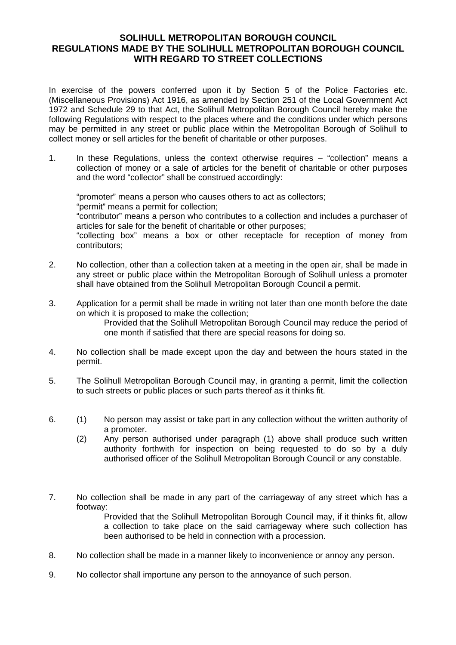## **SOLIHULL METROPOLITAN BOROUGH COUNCIL REGULATIONS MADE BY THE SOLIHULL METROPOLITAN BOROUGH COUNCIL WITH REGARD TO STREET COLLECTIONS**

In exercise of the powers conferred upon it by Section 5 of the Police Factories etc. (Miscellaneous Provisions) Act 1916, as amended by Section 251 of the Local Government Act 1972 and Schedule 29 to that Act, the Solihull Metropolitan Borough Council hereby make the following Regulations with respect to the places where and the conditions under which persons may be permitted in any street or public place within the Metropolitan Borough of Solihull to collect money or sell articles for the benefit of charitable or other purposes.

1. In these Regulations, unless the context otherwise requires – "collection" means a collection of money or a sale of articles for the benefit of charitable or other purposes and the word "collector" shall be construed accordingly:

"promoter" means a person who causes others to act as collectors; "permit" means a permit for collection; "contributor" means a person who contributes to a collection and includes a purchaser of articles for sale for the benefit of charitable or other purposes; "collecting box" means a box or other receptacle for reception of money from contributors;

- 2. No collection, other than a collection taken at a meeting in the open air, shall be made in any street or public place within the Metropolitan Borough of Solihull unless a promoter shall have obtained from the Solihull Metropolitan Borough Council a permit.
- 3. Application for a permit shall be made in writing not later than one month before the date on which it is proposed to make the collection; Provided that the Solihull Metropolitan Borough Council may reduce the period of one month if satisfied that there are special reasons for doing so.
- 4. No collection shall be made except upon the day and between the hours stated in the permit.
- 5. The Solihull Metropolitan Borough Council may, in granting a permit, limit the collection to such streets or public places or such parts thereof as it thinks fit.
- 6. (1) No person may assist or take part in any collection without the written authority of a promoter.
	- (2) Any person authorised under paragraph (1) above shall produce such written authority forthwith for inspection on being requested to do so by a duly authorised officer of the Solihull Metropolitan Borough Council or any constable.
- 7. No collection shall be made in any part of the carriageway of any street which has a footway:

Provided that the Solihull Metropolitan Borough Council may, if it thinks fit, allow a collection to take place on the said carriageway where such collection has been authorised to be held in connection with a procession.

- 8. No collection shall be made in a manner likely to inconvenience or annoy any person.
- 9. No collector shall importune any person to the annoyance of such person.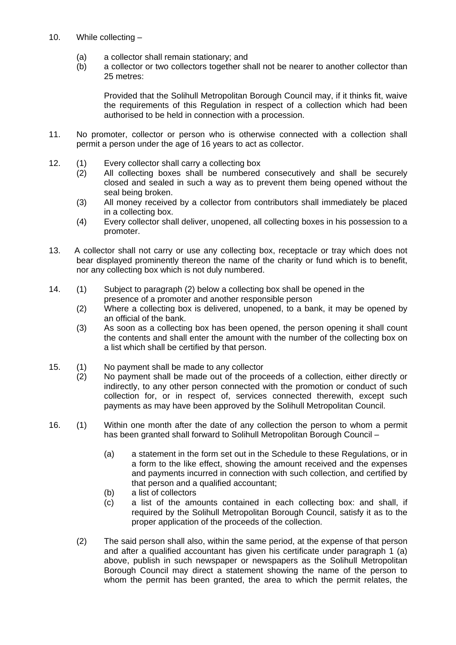- 10. While collecting
	- (a) a collector shall remain stationary; and
	- (b) a collector or two collectors together shall not be nearer to another collector than 25 metres:

Provided that the Solihull Metropolitan Borough Council may, if it thinks fit, waive the requirements of this Regulation in respect of a collection which had been authorised to be held in connection with a procession.

- 11. No promoter, collector or person who is otherwise connected with a collection shall permit a person under the age of 16 years to act as collector.
- 12. (1) Every collector shall carry a collecting box
	- (2) All collecting boxes shall be numbered consecutively and shall be securely closed and sealed in such a way as to prevent them being opened without the seal being broken.
	- (3) All money received by a collector from contributors shall immediately be placed in a collecting box.
	- (4) Every collector shall deliver, unopened, all collecting boxes in his possession to a promoter.
- 13. A collector shall not carry or use any collecting box, receptacle or tray which does not bear displayed prominently thereon the name of the charity or fund which is to benefit, nor any collecting box which is not duly numbered.
- 14. (1) Subject to paragraph (2) below a collecting box shall be opened in the presence of a promoter and another responsible person
	- (2) Where a collecting box is delivered, unopened, to a bank, it may be opened by an official of the bank.
	- (3) As soon as a collecting box has been opened, the person opening it shall count the contents and shall enter the amount with the number of the collecting box on a list which shall be certified by that person.
- 15. (1) No payment shall be made to any collector
	- (2) No payment shall be made out of the proceeds of a collection, either directly or indirectly, to any other person connected with the promotion or conduct of such collection for, or in respect of, services connected therewith, except such payments as may have been approved by the Solihull Metropolitan Council.
- 16. (1) Within one month after the date of any collection the person to whom a permit has been granted shall forward to Solihull Metropolitan Borough Council –
	- (a) a statement in the form set out in the Schedule to these Regulations, or in a form to the like effect, showing the amount received and the expenses and payments incurred in connection with such collection, and certified by that person and a qualified accountant;
	- (b) a list of collectors
	- (c) a list of the amounts contained in each collecting box: and shall, if required by the Solihull Metropolitan Borough Council, satisfy it as to the proper application of the proceeds of the collection.
	- (2) The said person shall also, within the same period, at the expense of that person and after a qualified accountant has given his certificate under paragraph 1 (a) above, publish in such newspaper or newspapers as the Solihull Metropolitan Borough Council may direct a statement showing the name of the person to whom the permit has been granted, the area to which the permit relates, the